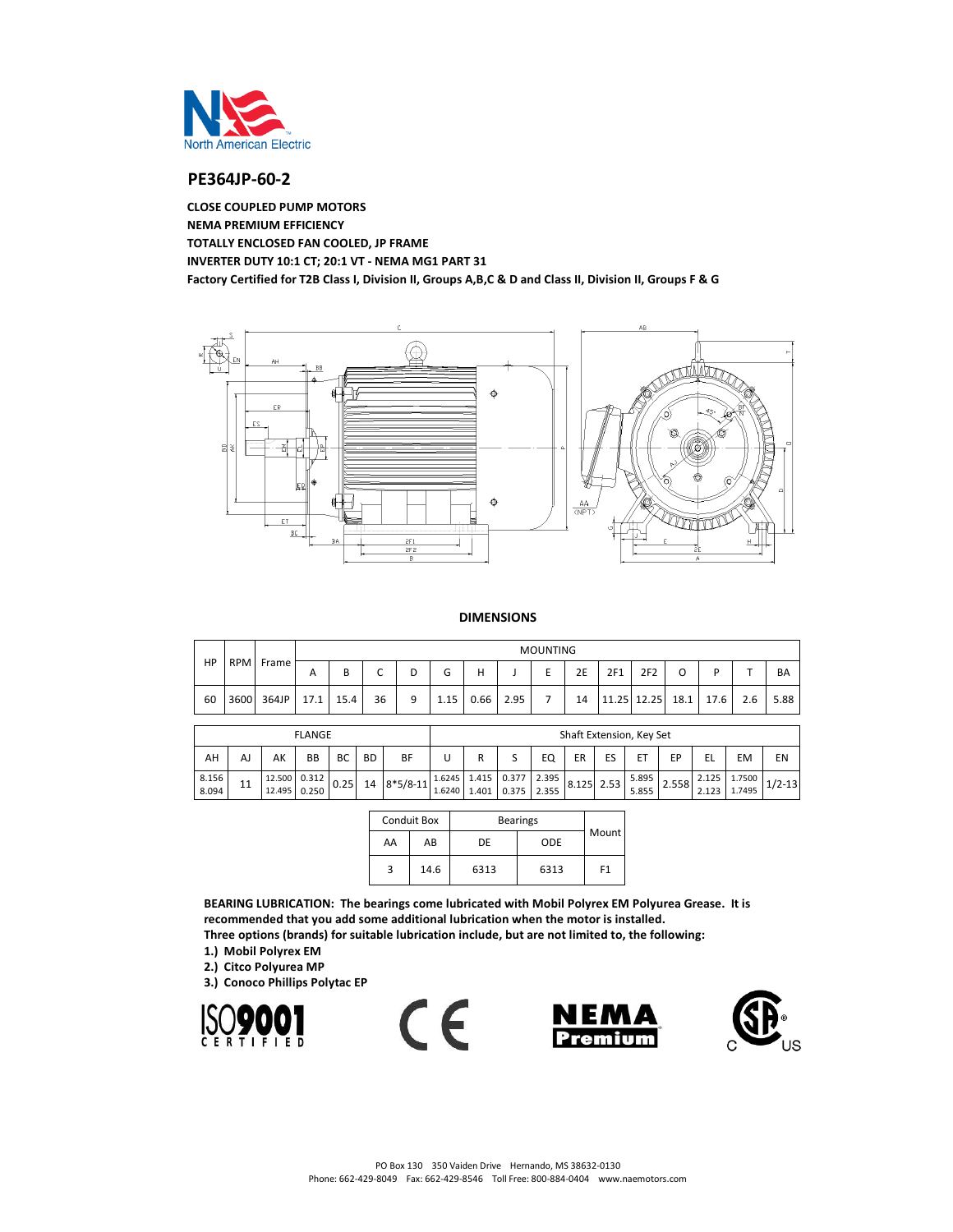

# **PE364JP-60-2**

**CLOSE COUPLED PUMP MOTORS NEMA PREMIUM EFFICIENCY TOTALLY ENCLOSED FAN COOLED, JP FRAME INVERTER DUTY 10:1 CT; 20:1 VT - NEMA MG1 PART 31 Factory Certified for T2B Class I, Division II, Groups A,B,C & D and Class II, Division II, Groups F & G**



#### **DIMENSIONS**

|    |            |       |              |      |                               |         | <b>MOUNTING</b> |      |      |  |    |     |                 |      |      |     |      |
|----|------------|-------|--------------|------|-------------------------------|---------|-----------------|------|------|--|----|-----|-----------------|------|------|-----|------|
| HP | <b>RPM</b> | Frame | $\mathsf{A}$ | в    | $\overline{\phantom{0}}$<br>◡ |         | ⌒<br>G          | н    |      |  | 2E | 2F1 | 2F <sub>2</sub> | O    |      |     | BA   |
| 60 | 3600       | 364JP | 17.1         | 15.4 | 36                            | $\circ$ | 1.15            | 0.66 | 2.95 |  | 14 |     | 11.25 12.25     | 18.1 | 17.6 | 2.6 | 5.88 |

| <b>FLANGE</b>                                        |    |                              |  |      |  |             |        | Shaft Extension, Key Set |                                                   |    |            |  |                |       |    |              |                                     |
|------------------------------------------------------|----|------------------------------|--|------|--|-------------|--------|--------------------------|---------------------------------------------------|----|------------|--|----------------|-------|----|--------------|-------------------------------------|
| AH<br><b>BB</b><br><b>BD</b><br>AK<br>BC<br>BF<br>AJ |    |                              |  |      |  |             |        |                          | EQ                                                | ER | ES         |  | FD             |       | EM | EN           |                                     |
| 8.156<br>8.094                                       | 11 | 12.500 0.312<br>12.495 0.250 |  | 0.25 |  | 14 8*5/8-11 | 1.6240 |                          | $1.6245$ $1.415$ 0.377 2.395<br>1.401 0.375 2.355 |    | 8.125 2.53 |  | 5.895<br>5.855 | 2.558 |    | 2.125 1.7500 | $\frac{1}{2.123}$   1.7495   1/2-13 |

|    | <b>Conduit Box</b> | <b>Bearings</b> |      |                |  |  |
|----|--------------------|-----------------|------|----------------|--|--|
| AA | AB                 | DE              | ODE  | Mount          |  |  |
| 3  | 14.6               | 6313            | 6313 | F <sub>1</sub> |  |  |

**BEARING LUBRICATION: The bearings come lubricated with Mobil Polyrex EM Polyurea Grease. It is recommended that you add some additional lubrication when the motor is installed. Three options (brands) for suitable lubrication include, but are not limited to, the following:**

- **1.) Mobil Polyrex EM**
- **2.) Citco Polyurea MP**
- **3.) Conoco Phillips Polytac EP**